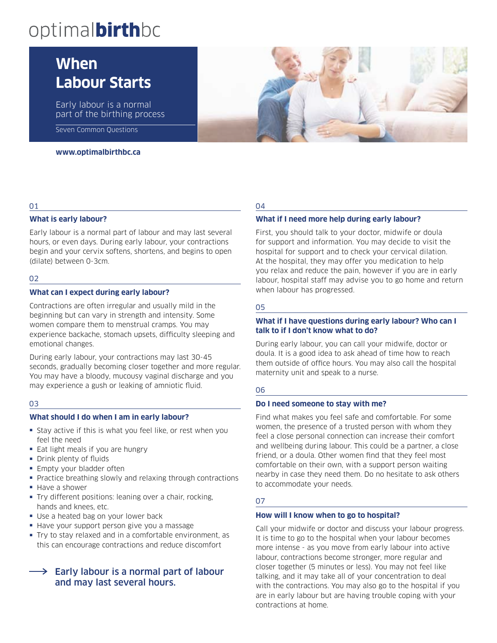# optimalbirthbc

# **When Labour Starts**

Early labour is a normal part of the birthing process

Seven Common Questions

#### **www.optimalbirthbc.ca**

### 01

#### **What is early labour?**

Early labour is a normal part of labour and may last several hours, or even days. During early labour, your contractions begin and your cervix softens, shortens, and begins to open (dilate) between 0-3cm.

#### 02

#### **What can I expect during early labour?**

Contractions are often irregular and usually mild in the beginning but can vary in strength and intensity. Some women compare them to menstrual cramps. You may experience backache, stomach upsets, difficulty sleeping and emotional changes.

During early labour, your contractions may last 30-45 seconds, gradually becoming closer together and more regular. You may have a bloody, mucousy vaginal discharge and you may experience a gush or leaking of amniotic fluid.

#### 03

#### **What should I do when I am in early labour?**

- Stay active if this is what you feel like, or rest when you feel the need
- Eat light meals if you are hungry
- ≠ Drink plenty of fluids
- Empty your bladder often
- Practice breathing slowly and relaxing through contractions
- Have a shower
- ≠ Try different positions: leaning over a chair, rocking, hands and knees, etc.
- ≠ Use a heated bag on your lower back
- Have your support person give you a massage
- ≠ Try to stay relaxed and in a comfortable environment, as this can encourage contractions and reduce discomfort

# Early labour is a normal part of labour and may last several hours.

#### 04

#### **What if I need more help during early labour?**

First, you should talk to your doctor, midwife or doula for support and information. You may decide to visit the hospital for support and to check your cervical dilation. At the hospital, they may offer you medication to help you relax and reduce the pain, however if you are in early labour, hospital staff may advise you to go home and return when labour has progressed.

#### 05

#### **What if I have questions during early labour? Who can I talk to if I don't know what to do?**

During early labour, you can call your midwife, doctor or doula. It is a good idea to ask ahead of time how to reach them outside of office hours. You may also call the hospital maternity unit and speak to a nurse.

#### 06

#### **Do I need someone to stay with me?**

Find what makes you feel safe and comfortable. For some women, the presence of a trusted person with whom they feel a close personal connection can increase their comfort and wellbeing during labour. This could be a partner, a close friend, or a doula. Other women find that they feel most comfortable on their own, with a support person waiting nearby in case they need them. Do no hesitate to ask others to accommodate your needs.

#### 07

#### **How will I know when to go to hospital?**

Call your midwife or doctor and discuss your labour progress. It is time to go to the hospital when your labour becomes more intense - as you move from early labour into active labour, contractions become stronger, more regular and closer together (5 minutes or less). You may not feel like talking, and it may take all of your concentration to deal with the contractions. You may also go to the hospital if you are in early labour but are having trouble coping with your contractions at home.